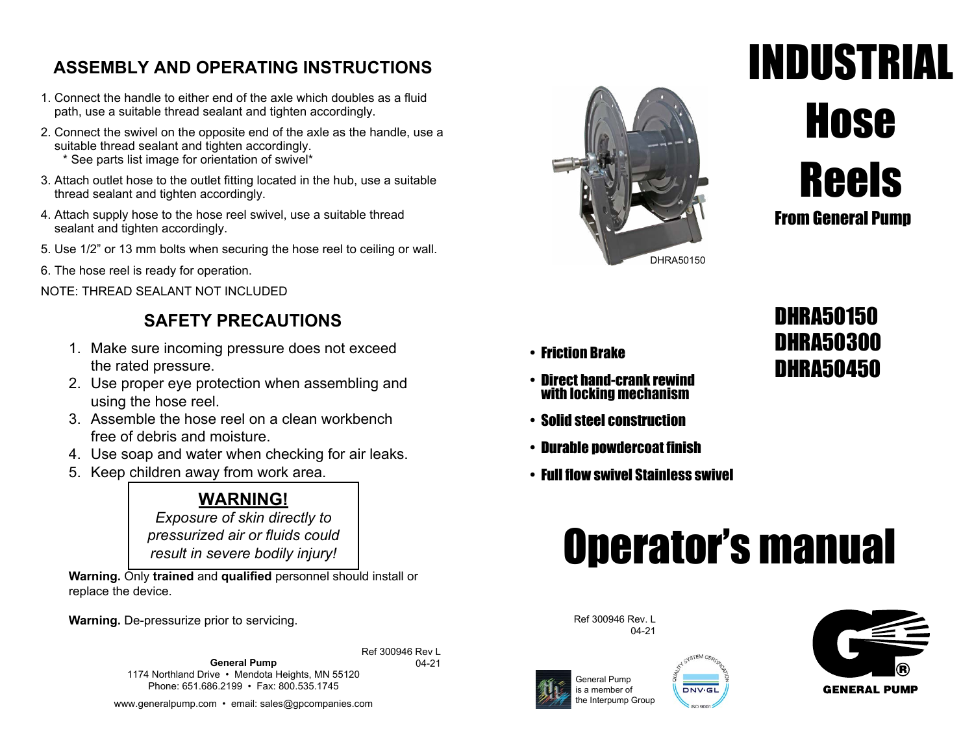### **ASSEMBLY AND OPERATING INSTRUCTIONS**

- 1. Connect the handle to either end of the axle which doubles as a fluid path, use a suitable thread sealant and tighten accordingly.
- 2. Connect the swivel on the opposite end of the axle as the handle, use a suitable thread sealant and tighten accordingly. \* See parts list image for orientation of swivel\*
- 3. Attach outlet hose to the outlet fitting located in the hub, use a suitable thread sealant and tighten accordingly.
- 4. Attach supply hose to the hose reel swivel, use a suitable thread sealant and tighten accordingly.
- 5. Use 1/2" or 13 mm bolts when securing the hose reel to ceiling or wall.
- 6. The hose reel is ready for operation.

NOTE: THREAD SEALANT NOT INCLUDED

## **SAFETY PRECAUTIONS**

- 1. Make sure incoming pressure does not exceed the rated pressure.
- 2. Use proper eye protection when assembling and using the hose reel.
- 3. Assemble the hose reel on a clean workbench free of debris and moisture.
- 4. Use soap and water when checking for air leaks.
- 5. Keep children away from work area.

### **WARNING!**

*Exposure of skin directly to pressurized air or fluids could result in severe bodily injury!*

**Warning.** Only **trained** and **qualified** personnel should install or replace the device.

**Warning.** De-pressurize prior to servicing.

**General Pump** 1174 Northland Drive • Mendota Heights, MN 55120 Phone: 651.686.2199 • Fax: 800.535.1745 Ref 300946 Rev L

www.generalpump.com • email: sales@gpcompanies.com



# INDUSTRIAL **Hose** Reels From General Pump

- 
- with locking mechanism
- Solid steel construction
- Durable powdercoat finish
- Full flow swivel Stainless swivel

# DHRA50300 DHRA50450 • Friction Brake • Direct hand-crank rewind

# Operator's manual

Ref 300946 Rev. L 04-21



04-21